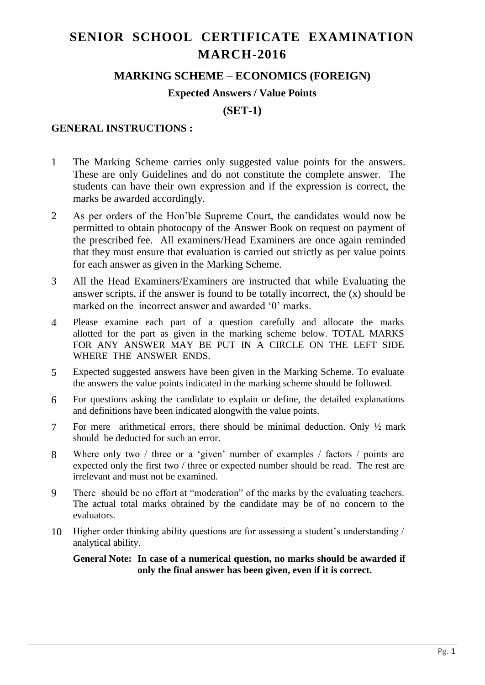# **SENIOR SCHOOL CERTIFICATE EXAMINATION MARCH-2016**

## **MARKING SCHEME – ECONOMICS (FOREIGN)**

#### **Expected Answers / Value Points**

**(SET-1)**

### **GENERAL INSTRUCTIONS :**

- 1 The Marking Scheme carries only suggested value points for the answers. These are only Guidelines and do not constitute the complete answer. The students can have their own expression and if the expression is correct, the marks be awarded accordingly.
- 2 As per orders of the Hon'ble Supreme Court, the candidates would now be permitted to obtain photocopy of the Answer Book on request on payment of the prescribed fee. All examiners/Head Examiners are once again reminded that they must ensure that evaluation is carried out strictly as per value points for each answer as given in the Marking Scheme.
- 3 All the Head Examiners/Examiners are instructed that while Evaluating the answer scripts, if the answer is found to be totally incorrect, the (x) should be marked on the incorrect answer and awarded '0' marks.
- 4 Please examine each part of a question carefully and allocate the marks allotted for the part as given in the marking scheme below. TOTAL MARKS FOR ANY ANSWER MAY BE PUT IN A CIRCLE ON THE LEFT SIDE WHERE THE ANSWER ENDS.
- 5 Expected suggested answers have been given in the Marking Scheme. To evaluate the answers the value points indicated in the marking scheme should be followed.
- 6 For questions asking the candidate to explain or define, the detailed explanations and definitions have been indicated alongwith the value points.
- 7 For mere arithmetical errors, there should be minimal deduction. Only ½ mark should be deducted for such an error.
- 8 Where only two / three or a 'given' number of examples / factors / points are expected only the first two / three or expected number should be read. The rest are irrelevant and must not be examined.
- 9 There should be no effort at "moderation" of the marks by the evaluating teachers. The actual total marks obtained by the candidate may be of no concern to the evaluators.
- 10 Higher order thinking ability questions are for assessing a student's understanding / analytical ability.

#### **General Note: In case of a numerical question, no marks should be awarded if only the final answer has been given, even if it is correct.**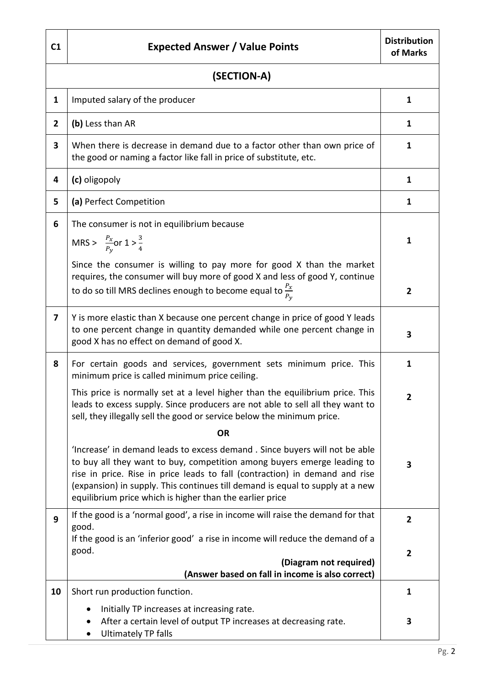| C <sub>1</sub>          | <b>Expected Answer / Value Points</b>                                                                                                                                                                                                                                                                                                                                             | <b>Distribution</b><br>of Marks |  |
|-------------------------|-----------------------------------------------------------------------------------------------------------------------------------------------------------------------------------------------------------------------------------------------------------------------------------------------------------------------------------------------------------------------------------|---------------------------------|--|
| (SECTION-A)             |                                                                                                                                                                                                                                                                                                                                                                                   |                                 |  |
| 1                       | Imputed salary of the producer                                                                                                                                                                                                                                                                                                                                                    | 1                               |  |
| $\mathbf{2}$            | (b) Less than AR                                                                                                                                                                                                                                                                                                                                                                  | 1                               |  |
| 3                       | When there is decrease in demand due to a factor other than own price of<br>the good or naming a factor like fall in price of substitute, etc.                                                                                                                                                                                                                                    | 1                               |  |
| 4                       | (c) oligopoly                                                                                                                                                                                                                                                                                                                                                                     | 1                               |  |
| 5                       | (a) Perfect Competition                                                                                                                                                                                                                                                                                                                                                           | $\mathbf{1}$                    |  |
| 6                       | The consumer is not in equilibrium because<br>MRS > $\frac{P_x}{P_v}$ or $1 > \frac{3}{4}$<br>Since the consumer is willing to pay more for good X than the market                                                                                                                                                                                                                | $\mathbf{1}$                    |  |
|                         | requires, the consumer will buy more of good X and less of good Y, continue<br>to do so till MRS declines enough to become equal to $\frac{P_X}{P_Y}$                                                                                                                                                                                                                             | $\overline{2}$                  |  |
| $\overline{\mathbf{z}}$ | Y is more elastic than X because one percent change in price of good Y leads<br>to one percent change in quantity demanded while one percent change in<br>good X has no effect on demand of good X.                                                                                                                                                                               | 3                               |  |
| 8                       | For certain goods and services, government sets minimum price. This<br>minimum price is called minimum price ceiling.                                                                                                                                                                                                                                                             | 1                               |  |
|                         | This price is normally set at a level higher than the equilibrium price. This<br>leads to excess supply. Since producers are not able to sell all they want to<br>sell, they illegally sell the good or service below the minimum price.                                                                                                                                          | $\mathbf{z}$                    |  |
|                         | <b>OR</b>                                                                                                                                                                                                                                                                                                                                                                         |                                 |  |
|                         | 'Increase' in demand leads to excess demand. Since buyers will not be able<br>to buy all they want to buy, competition among buyers emerge leading to<br>rise in price. Rise in price leads to fall (contraction) in demand and rise<br>(expansion) in supply. This continues till demand is equal to supply at a new<br>equilibrium price which is higher than the earlier price | $\overline{\mathbf{3}}$         |  |
| 9                       | If the good is a 'normal good', a rise in income will raise the demand for that<br>good.                                                                                                                                                                                                                                                                                          | $\overline{2}$                  |  |
|                         | If the good is an 'inferior good' a rise in income will reduce the demand of a<br>good.<br>(Diagram not required)<br>(Answer based on fall in income is also correct)                                                                                                                                                                                                             | $\mathbf{2}$                    |  |
| 10                      | Short run production function.                                                                                                                                                                                                                                                                                                                                                    | 1                               |  |
|                         | Initially TP increases at increasing rate.<br>٠<br>After a certain level of output TP increases at decreasing rate.<br><b>Ultimately TP falls</b>                                                                                                                                                                                                                                 | 3                               |  |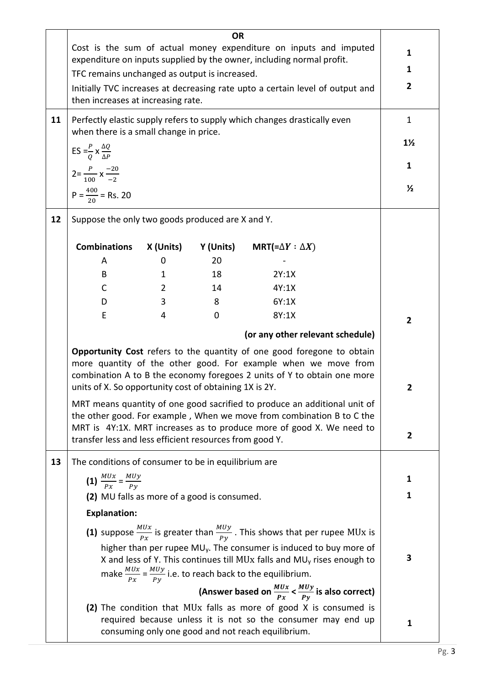| 11 | TFC remains unchanged as output is increased.<br>then increases at increasing rate.<br>when there is a small change in price.                                                                                                                                                                                                                              |                | <b>OR</b>   | Cost is the sum of actual money expenditure on inputs and imputed<br>expenditure on inputs supplied by the owner, including normal profit.<br>Initially TVC increases at decreasing rate upto a certain level of output and<br>Perfectly elastic supply refers to supply which changes drastically even | 1<br>1<br>$\mathbf{2}$<br>$\mathbf{1}$<br>$1\frac{1}{2}$ |
|----|------------------------------------------------------------------------------------------------------------------------------------------------------------------------------------------------------------------------------------------------------------------------------------------------------------------------------------------------------------|----------------|-------------|---------------------------------------------------------------------------------------------------------------------------------------------------------------------------------------------------------------------------------------------------------------------------------------------------------|----------------------------------------------------------|
|    | ES = $\frac{P}{Q}$ x $\frac{\Delta Q}{\Delta P}$                                                                                                                                                                                                                                                                                                           |                |             |                                                                                                                                                                                                                                                                                                         | 1                                                        |
|    | $2=\frac{P}{100}$ x $\frac{-20}{-2}$                                                                                                                                                                                                                                                                                                                       |                |             |                                                                                                                                                                                                                                                                                                         | $\frac{1}{2}$                                            |
|    | $P = \frac{400}{30} =$ Rs. 20                                                                                                                                                                                                                                                                                                                              |                |             |                                                                                                                                                                                                                                                                                                         |                                                          |
| 12 | Suppose the only two goods produced are X and Y.                                                                                                                                                                                                                                                                                                           |                |             |                                                                                                                                                                                                                                                                                                         |                                                          |
|    | <b>Combinations</b>                                                                                                                                                                                                                                                                                                                                        | X (Units)      | Y (Units)   | MRT(= $\Delta Y : \Delta X$ )                                                                                                                                                                                                                                                                           |                                                          |
|    | A                                                                                                                                                                                                                                                                                                                                                          | 0              | 20          |                                                                                                                                                                                                                                                                                                         |                                                          |
|    | B                                                                                                                                                                                                                                                                                                                                                          | 1              | 18          | 2Y:1X                                                                                                                                                                                                                                                                                                   |                                                          |
|    | C                                                                                                                                                                                                                                                                                                                                                          | $\overline{2}$ | 14          | 4Y:1X                                                                                                                                                                                                                                                                                                   |                                                          |
|    | D                                                                                                                                                                                                                                                                                                                                                          | 3              | 8           | 6Y:1X                                                                                                                                                                                                                                                                                                   |                                                          |
|    | E                                                                                                                                                                                                                                                                                                                                                          | 4              | $\mathbf 0$ | 8Y:1X                                                                                                                                                                                                                                                                                                   | $\overline{2}$                                           |
|    |                                                                                                                                                                                                                                                                                                                                                            |                |             | (or any other relevant schedule)                                                                                                                                                                                                                                                                        |                                                          |
|    | Opportunity Cost refers to the quantity of one good foregone to obtain<br>more quantity of the other good. For example when we move from<br>combination A to B the economy foregoes 2 units of Y to obtain one more<br>units of X. So opportunity cost of obtaining 1X is 2Y.<br>MRT means quantity of one good sacrified to produce an additional unit of |                |             | 2                                                                                                                                                                                                                                                                                                       |                                                          |
|    | transfer less and less efficient resources from good Y.                                                                                                                                                                                                                                                                                                    |                |             | the other good. For example, When we move from combination B to C the<br>MRT is 4Y:1X. MRT increases as to produce more of good X. We need to                                                                                                                                                           | 2                                                        |
| 13 | The conditions of consumer to be in equilibrium are                                                                                                                                                                                                                                                                                                        |                |             |                                                                                                                                                                                                                                                                                                         |                                                          |
|    | (1) $\frac{MUx}{Px} = \frac{MUy}{Py}$                                                                                                                                                                                                                                                                                                                      | 1              |             |                                                                                                                                                                                                                                                                                                         |                                                          |
|    | (2) MU falls as more of a good is consumed.                                                                                                                                                                                                                                                                                                                | 1              |             |                                                                                                                                                                                                                                                                                                         |                                                          |
|    | <b>Explanation:</b>                                                                                                                                                                                                                                                                                                                                        |                |             |                                                                                                                                                                                                                                                                                                         |                                                          |
|    | (1) suppose $\frac{M U x}{P x}$ is greater than $\frac{M U y}{P y}$ . This shows that per rupee MUx is                                                                                                                                                                                                                                                     |                |             |                                                                                                                                                                                                                                                                                                         |                                                          |
|    | higher than per rupee MU <sub>y</sub> . The consumer is induced to buy more of<br>X and less of Y. This continues till MUx falls and MU <sub>y</sub> rises enough to<br>make $\frac{MUx}{Px} = \frac{MUy}{Py}$ i.e. to reach back to the equilibrium.                                                                                                      |                |             |                                                                                                                                                                                                                                                                                                         |                                                          |
|    | (Answer based on $\frac{M U x}{P x} < \frac{M U y}{P y}$ is also correct)                                                                                                                                                                                                                                                                                  |                |             |                                                                                                                                                                                                                                                                                                         |                                                          |
|    |                                                                                                                                                                                                                                                                                                                                                            |                |             | (2) The condition that MUx falls as more of good X is consumed is<br>required because unless it is not so the consumer may end up<br>consuming only one good and not reach equilibrium.                                                                                                                 | 1                                                        |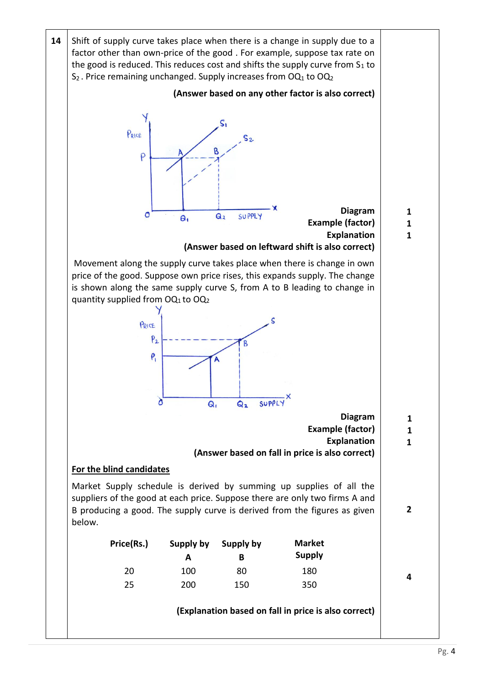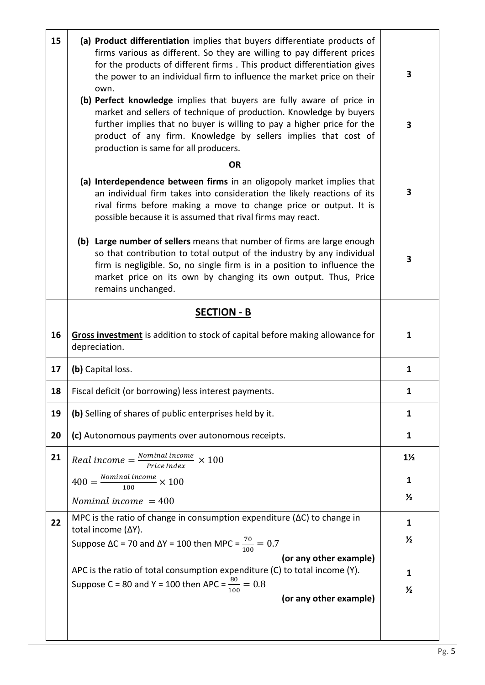| 15 | (a) Product differentiation implies that buyers differentiate products of<br>firms various as different. So they are willing to pay different prices<br>for the products of different firms. This product differentiation gives<br>the power to an individual firm to influence the market price on their<br>own.<br>(b) Perfect knowledge implies that buyers are fully aware of price in<br>market and sellers of technique of production. Knowledge by buyers<br>further implies that no buyer is willing to pay a higher price for the<br>product of any firm. Knowledge by sellers implies that cost of<br>production is same for all producers. | 3<br>3         |
|----|-------------------------------------------------------------------------------------------------------------------------------------------------------------------------------------------------------------------------------------------------------------------------------------------------------------------------------------------------------------------------------------------------------------------------------------------------------------------------------------------------------------------------------------------------------------------------------------------------------------------------------------------------------|----------------|
|    | <b>OR</b>                                                                                                                                                                                                                                                                                                                                                                                                                                                                                                                                                                                                                                             |                |
|    | (a) Interdependence between firms in an oligopoly market implies that<br>an individual firm takes into consideration the likely reactions of its<br>rival firms before making a move to change price or output. It is<br>possible because it is assumed that rival firms may react.                                                                                                                                                                                                                                                                                                                                                                   | 3              |
|    | (b) Large number of sellers means that number of firms are large enough<br>so that contribution to total output of the industry by any individual<br>firm is negligible. So, no single firm is in a position to influence the<br>market price on its own by changing its own output. Thus, Price<br>remains unchanged.                                                                                                                                                                                                                                                                                                                                | 3              |
|    | <b>SECTION - B</b>                                                                                                                                                                                                                                                                                                                                                                                                                                                                                                                                                                                                                                    |                |
| 16 | Gross investment is addition to stock of capital before making allowance for<br>depreciation.                                                                                                                                                                                                                                                                                                                                                                                                                                                                                                                                                         | $\mathbf{1}$   |
| 17 | (b) Capital loss.                                                                                                                                                                                                                                                                                                                                                                                                                                                                                                                                                                                                                                     | $\mathbf{1}$   |
| 18 | Fiscal deficit (or borrowing) less interest payments.                                                                                                                                                                                                                                                                                                                                                                                                                                                                                                                                                                                                 | $\mathbf{1}$   |
| 19 | (b) Selling of shares of public enterprises held by it.                                                                                                                                                                                                                                                                                                                                                                                                                                                                                                                                                                                               | $\mathbf{1}$   |
| 20 | (c) Autonomous payments over autonomous receipts.                                                                                                                                                                                                                                                                                                                                                                                                                                                                                                                                                                                                     | 1              |
| 21 | Real income $=\frac{Normal\ income}{Price\ Index}} \times 100$                                                                                                                                                                                                                                                                                                                                                                                                                                                                                                                                                                                        | $1\frac{1}{2}$ |
|    | $400 = \frac{Nominal\ income}{100} \times 100$                                                                                                                                                                                                                                                                                                                                                                                                                                                                                                                                                                                                        | 1              |
|    | Nominal income $= 400$                                                                                                                                                                                                                                                                                                                                                                                                                                                                                                                                                                                                                                | $\frac{1}{2}$  |
| 22 | MPC is the ratio of change in consumption expenditure ( $\Delta C$ ) to change in                                                                                                                                                                                                                                                                                                                                                                                                                                                                                                                                                                     | 1              |
|    | total income (ΔY).<br>Suppose ΔC = 70 and ΔY = 100 then MPC = $\frac{70}{100}$ = 0.7                                                                                                                                                                                                                                                                                                                                                                                                                                                                                                                                                                  | $\frac{1}{2}$  |
|    | (or any other example)                                                                                                                                                                                                                                                                                                                                                                                                                                                                                                                                                                                                                                |                |
|    | APC is the ratio of total consumption expenditure (C) to total income (Y).                                                                                                                                                                                                                                                                                                                                                                                                                                                                                                                                                                            | 1              |
|    | Suppose C = 80 and Y = 100 then APC = $\frac{80}{100}$ = 0.8                                                                                                                                                                                                                                                                                                                                                                                                                                                                                                                                                                                          | $\frac{1}{2}$  |
|    | (or any other example)                                                                                                                                                                                                                                                                                                                                                                                                                                                                                                                                                                                                                                |                |
|    |                                                                                                                                                                                                                                                                                                                                                                                                                                                                                                                                                                                                                                                       |                |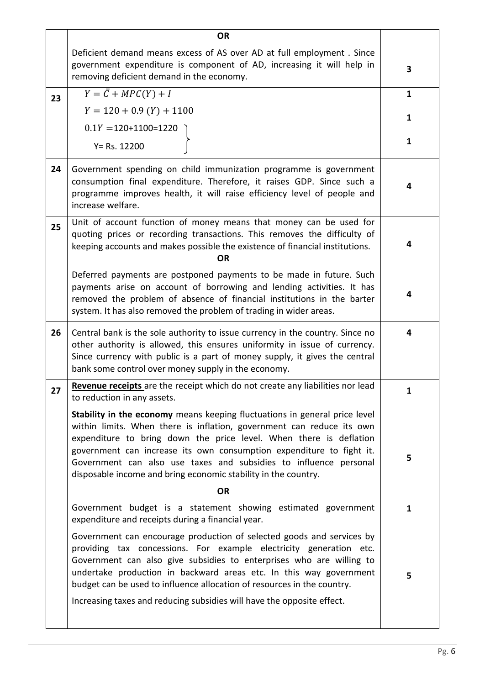|    | <b>OR</b>                                                                                                                                                                                                                                                                                                                                                                                                                                      |              |
|----|------------------------------------------------------------------------------------------------------------------------------------------------------------------------------------------------------------------------------------------------------------------------------------------------------------------------------------------------------------------------------------------------------------------------------------------------|--------------|
|    | Deficient demand means excess of AS over AD at full employment. Since<br>government expenditure is component of AD, increasing it will help in<br>removing deficient demand in the economy.                                                                                                                                                                                                                                                    | 3            |
| 23 | $Y = \overline{C} + MPC(Y) + I$                                                                                                                                                                                                                                                                                                                                                                                                                | $\mathbf{1}$ |
|    | $Y = 120 + 0.9 (Y) + 1100$                                                                                                                                                                                                                                                                                                                                                                                                                     | 1            |
|    | $0.1Y = 120+1100=1220$                                                                                                                                                                                                                                                                                                                                                                                                                         |              |
|    | $Y = Rs. 12200$                                                                                                                                                                                                                                                                                                                                                                                                                                | $\mathbf{1}$ |
| 24 | Government spending on child immunization programme is government<br>consumption final expenditure. Therefore, it raises GDP. Since such a<br>programme improves health, it will raise efficiency level of people and<br>increase welfare.                                                                                                                                                                                                     | 4            |
| 25 | Unit of account function of money means that money can be used for<br>quoting prices or recording transactions. This removes the difficulty of<br>keeping accounts and makes possible the existence of financial institutions.<br><b>OR</b>                                                                                                                                                                                                    | 4            |
|    | Deferred payments are postponed payments to be made in future. Such<br>payments arise on account of borrowing and lending activities. It has<br>removed the problem of absence of financial institutions in the barter<br>system. It has also removed the problem of trading in wider areas.                                                                                                                                                   | 4            |
| 26 | Central bank is the sole authority to issue currency in the country. Since no<br>other authority is allowed, this ensures uniformity in issue of currency.<br>Since currency with public is a part of money supply, it gives the central<br>bank some control over money supply in the economy.                                                                                                                                                | 4            |
| 27 | Revenue receipts are the receipt which do not create any liabilities nor lead<br>to reduction in any assets.                                                                                                                                                                                                                                                                                                                                   | 1            |
|    | Stability in the economy means keeping fluctuations in general price level<br>within limits. When there is inflation, government can reduce its own<br>expenditure to bring down the price level. When there is deflation<br>government can increase its own consumption expenditure to fight it.<br>Government can also use taxes and subsidies to influence personal<br>disposable income and bring economic stability in the country.       | 5            |
|    | <b>OR</b>                                                                                                                                                                                                                                                                                                                                                                                                                                      |              |
|    | Government budget is a statement showing estimated government<br>expenditure and receipts during a financial year.                                                                                                                                                                                                                                                                                                                             | 1            |
|    | Government can encourage production of selected goods and services by<br>providing tax concessions. For example electricity generation etc.<br>Government can also give subsidies to enterprises who are willing to<br>undertake production in backward areas etc. In this way government<br>budget can be used to influence allocation of resources in the country.<br>Increasing taxes and reducing subsidies will have the opposite effect. | 5            |
|    |                                                                                                                                                                                                                                                                                                                                                                                                                                                |              |